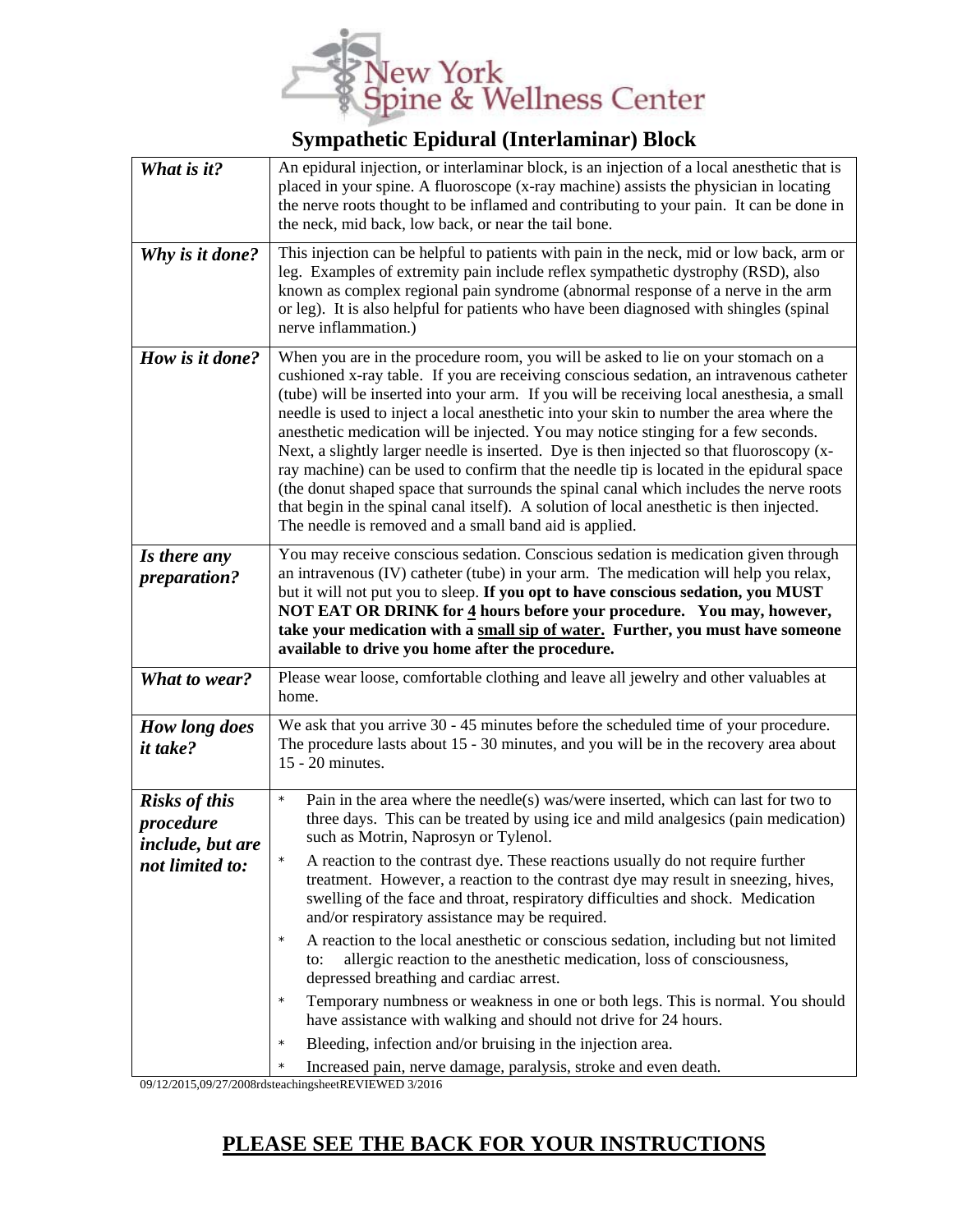

## **Sympathetic Epidural (Interlaminar) Block**

| What is it?                                                              | An epidural injection, or interlaminar block, is an injection of a local anesthetic that is<br>placed in your spine. A fluoroscope (x-ray machine) assists the physician in locating<br>the nerve roots thought to be inflamed and contributing to your pain. It can be done in<br>the neck, mid back, low back, or near the tail bone.                                                                                                                                                                                                                                                                                                                                                                                                                                                                                                                                                                                                 |  |
|--------------------------------------------------------------------------|-----------------------------------------------------------------------------------------------------------------------------------------------------------------------------------------------------------------------------------------------------------------------------------------------------------------------------------------------------------------------------------------------------------------------------------------------------------------------------------------------------------------------------------------------------------------------------------------------------------------------------------------------------------------------------------------------------------------------------------------------------------------------------------------------------------------------------------------------------------------------------------------------------------------------------------------|--|
| Why is it done?                                                          | This injection can be helpful to patients with pain in the neck, mid or low back, arm or<br>leg. Examples of extremity pain include reflex sympathetic dystrophy (RSD), also<br>known as complex regional pain syndrome (abnormal response of a nerve in the arm<br>or leg). It is also helpful for patients who have been diagnosed with shingles (spinal<br>nerve inflammation.)                                                                                                                                                                                                                                                                                                                                                                                                                                                                                                                                                      |  |
| How is it done?                                                          | When you are in the procedure room, you will be asked to lie on your stomach on a<br>cushioned x-ray table. If you are receiving conscious sedation, an intravenous catheter<br>(tube) will be inserted into your arm. If you will be receiving local anesthesia, a small<br>needle is used to inject a local anesthetic into your skin to number the area where the<br>anesthetic medication will be injected. You may notice stinging for a few seconds.<br>Next, a slightly larger needle is inserted. Dye is then injected so that fluoroscopy (x-<br>ray machine) can be used to confirm that the needle tip is located in the epidural space<br>(the donut shaped space that surrounds the spinal canal which includes the nerve roots<br>that begin in the spinal canal itself). A solution of local anesthetic is then injected.<br>The needle is removed and a small band aid is applied.                                      |  |
| Is there any<br>preparation?                                             | You may receive conscious sedation. Conscious sedation is medication given through<br>an intravenous (IV) catheter (tube) in your arm. The medication will help you relax,<br>but it will not put you to sleep. If you opt to have conscious sedation, you MUST<br>NOT EAT OR DRINK for 4 hours before your procedure. You may, however,<br>take your medication with a small sip of water. Further, you must have someone<br>available to drive you home after the procedure.                                                                                                                                                                                                                                                                                                                                                                                                                                                          |  |
| What to wear?                                                            | Please wear loose, comfortable clothing and leave all jewelry and other valuables at<br>home.                                                                                                                                                                                                                                                                                                                                                                                                                                                                                                                                                                                                                                                                                                                                                                                                                                           |  |
| How long does<br>it take?                                                | We ask that you arrive 30 - 45 minutes before the scheduled time of your procedure.<br>The procedure lasts about 15 - 30 minutes, and you will be in the recovery area about<br>15 - 20 minutes.                                                                                                                                                                                                                                                                                                                                                                                                                                                                                                                                                                                                                                                                                                                                        |  |
| <b>Risks of this</b><br>procedure<br>include, but are<br>not limited to: | Pain in the area where the needle(s) was/were inserted, which can last for two to<br>$^{\star}$<br>three days. This can be treated by using ice and mild analgesics (pain medication)<br>such as Motrin, Naprosyn or Tylenol.<br>A reaction to the contrast dye. These reactions usually do not require further<br>treatment. However, a reaction to the contrast dye may result in sneezing, hives,<br>swelling of the face and throat, respiratory difficulties and shock. Medication<br>and/or respiratory assistance may be required.<br>A reaction to the local anesthetic or conscious sedation, including but not limited<br>$\star$<br>allergic reaction to the anesthetic medication, loss of consciousness,<br>to:<br>depressed breathing and cardiac arrest.<br>Temporary numbness or weakness in one or both legs. This is normal. You should<br>$\star$<br>have assistance with walking and should not drive for 24 hours. |  |
|                                                                          | Bleeding, infection and/or bruising in the injection area.<br>$\star$<br>Increased pain, nerve damage, paralysis, stroke and even death.<br>dsteachingsheetREVIEWED3/2016                                                                                                                                                                                                                                                                                                                                                                                                                                                                                                                                                                                                                                                                                                                                                               |  |

eachingsheetREVIEWED 3

## **PLEASE SEE THE BACK FOR YOUR INSTRUCTIONS**